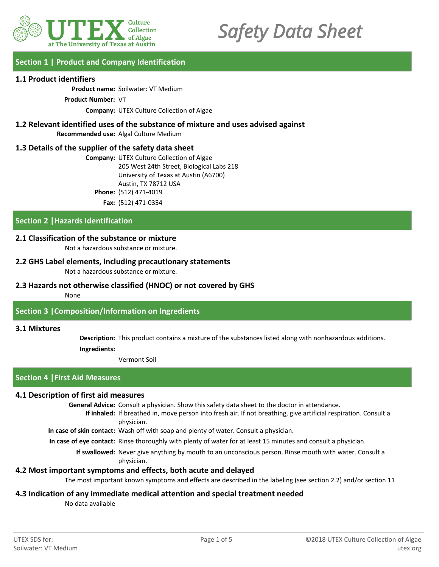

# *Safety Data Sheet*

# **Section 1 | Product and Company Identification**

## **1.1 Product identifiers**

**Product name:** Soilwater: VT Medium

**Product Number:** VT

**Company:** UTEX Culture Collection of Algae

# **1.2 Relevant identified uses of the substance of mixture and uses advised against Recommended use:** Algal Culture Medium

# **1.3 Details of the supplier of the safety data sheet**

**Company:** UTEX Culture Collection of Algae 205 West 24th Street, Biological Labs 218 University of Texas at Austin (A6700) Austin, TX 78712 USA **Phone:** (512) 471-4019 **Fax:** (512) 471-0354

# **Section 2 |Hazards Identification**

# **2.1 Classification of the substance or mixture**

Not a hazardous substance or mixture.

# **2.2 GHS Label elements, including precautionary statements**

Not a hazardous substance or mixture.

# **2.3 Hazards not otherwise classified (HNOC) or not covered by GHS**

## None

# **Section 3 |Composition/Information on Ingredients**

## **3.1 Mixtures**

**Description:** This product contains a mixture of the substances listed along with nonhazardous additions. **Ingredients:**

Vermont Soil

# **Section 4 |First Aid Measures**

## **4.1 Description of first aid measures**

**General Advice:** Consult a physician. Show this safety data sheet to the doctor in attendance.

If inhaled: If breathed in, move person into fresh air. If not breathing, give artificial respiration. Consult a physician.

**In case of skin contact:** Wash off with soap and plenty of water. Consult a physician.

**In case of eye contact:** Rinse thoroughly with plenty of water for at least 15 minutes and consult a physician.

If swallowed: Never give anything by mouth to an unconscious person. Rinse mouth with water. Consult a physician.

# **4.2 Most important symptoms and effects, both acute and delayed**

The most important known symptoms and effects are described in the labeling (see section 2.2) and/or section 11

# **4.3 Indication of any immediate medical attention and special treatment needed**

No data available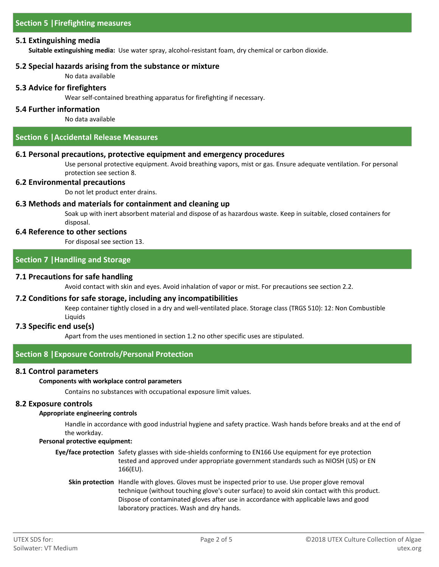# **5.1 Extinguishing media**

**Suitable extinguishing media:** Use water spray, alcohol-resistant foam, dry chemical or carbon dioxide.

# **5.2 Special hazards arising from the substance or mixture**

No data available

## **5.3 Advice for firefighters**

Wear self-contained breathing apparatus for firefighting if necessary.

## **5.4 Further information**

No data available

# **Section 6 |Accidental Release Measures**

## **6.1 Personal precautions, protective equipment and emergency procedures**

Use personal protective equipment. Avoid breathing vapors, mist or gas. Ensure adequate ventilation. For personal protection see section 8.

## **6.2 Environmental precautions**

Do not let product enter drains.

# **6.3 Methods and materials for containment and cleaning up**

Soak up with inert absorbent material and dispose of as hazardous waste. Keep in suitable, closed containers for disposal.

## **6.4 Reference to other sections**

For disposal see section 13.

# **Section 7 |Handling and Storage**

# **7.1 Precautions for safe handling**

Avoid contact with skin and eyes. Avoid inhalation of vapor or mist. For precautions see section 2.2.

## **7.2 Conditions for safe storage, including any incompatibilities**

Keep container tightly closed in a dry and well-ventilated place. Storage class (TRGS 510): 12: Non Combustible Liquids

## **7.3 Specific end use(s)**

Apart from the uses mentioned in section 1.2 no other specific uses are stipulated.

# **Section 8 |Exposure Controls/Personal Protection**

## **8.1 Control parameters**

## **Components with workplace control parameters**

Contains no substances with occupational exposure limit values.

## **8.2 Exposure controls**

#### **Appropriate engineering controls**

Handle in accordance with good industrial hygiene and safety practice. Wash hands before breaks and at the end of the workday.

#### **Personal protective equipment:**

- Eye/face protection Safety glasses with side-shields conforming to EN166 Use equipment for eye protection tested and approved under appropriate government standards such as NIOSH (US) or EN 166(EU).
	- **Skin protection** Handle with gloves. Gloves must be inspected prior to use. Use proper glove removal technique (without touching glove's outer surface) to avoid skin contact with this product. Dispose of contaminated gloves after use in accordance with applicable laws and good laboratory practices. Wash and dry hands.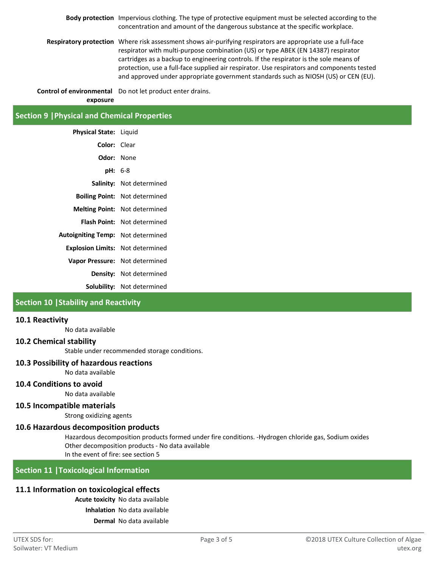**Body protection** Impervious clothing. The type of protective equipment must be selected according to the concentration and amount of the dangerous substance at the specific workplace.

**Respiratory protection** Where risk assessment shows air-purifying respirators are appropriate use a full-face respirator with multi-purpose combination (US) or type ABEK (EN 14387) respirator cartridges as a backup to engineering controls. If the respirator is the sole means of protection, use a full-face supplied air respirator. Use respirators and components tested and approved under appropriate government standards such as NIOSH (US) or CEN (EU).

**Control of environmental** Do not let product enter drains. **exposure**

# **Section 9 |Physical and Chemical Properties**

| <b>Physical State:</b> Liquid            |                                      |
|------------------------------------------|--------------------------------------|
| Color: Clear                             |                                      |
| <b>Odor:</b> None                        |                                      |
| <b>pH:</b> 6-8                           |                                      |
|                                          | <b>Salinity:</b> Not determined      |
|                                          | <b>Boiling Point:</b> Not determined |
|                                          | <b>Melting Point:</b> Not determined |
| Flash Point:                             | Not determined                       |
| <b>Autoigniting Temp:</b> Not determined |                                      |
| <b>Explosion Limits:</b> Not determined  |                                      |
| Vapor Pressure: Not determined           |                                      |
|                                          | Density: Not determined              |
|                                          | <b>Solubility:</b> Not determined    |

# **Section 10 |Stability and Reactivity**

# **10.1 Reactivity**

No data available

# **10.2 Chemical stability**

Stable under recommended storage conditions.

#### **10.3 Possibility of hazardous reactions**

No data available

# **10.4 Conditions to avoid**

No data available

#### **10.5 Incompatible materials**

Strong oxidizing agents

#### **10.6 Hazardous decomposition products**

Hazardous decomposition products formed under fire conditions. -Hydrogen chloride gas, Sodium oxides Other decomposition products - No data available In the event of fire: see section 5

**Section 11 |Toxicological Information**

# **11.1 Information on toxicological effects**

**Acute toxicity** No data available

**Inhalation** No data available

**Dermal** No data available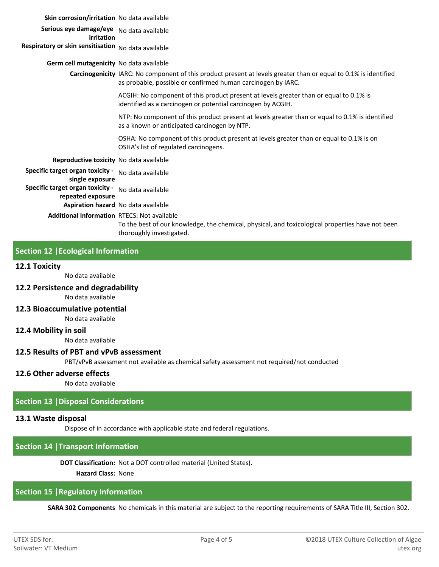#### **Skin corrosion/irritation** No data available

**Serious eye damage/eye**  No data available **irritation**

# **Respiratory or skin sensitisation** No data available

#### **Germ cell mutagenicity** No data available

**Carcinogenicity** IARC: No component of this product present at levels greater than or equal to 0.1% is identified as probable, possible or confirmed human carcinogen by IARC.

> ACGIH: No component of this product present at levels greater than or equal to 0.1% is identified as a carcinogen or potential carcinogen by ACGIH.

NTP: No component of this product present at levels greater than or equal to 0.1% is identified as a known or anticipated carcinogen by NTP.

OSHA: No component of this product present at levels greater than or equal to 0.1% is on OSHA's list of regulated carcinogens.

#### **Reproductive toxicity** No data available

**Specific target organ toxicity -**  No data available **single exposure**

**Specific target organ toxicity -**  No data available

**repeated exposure**

**Aspiration hazard** No data available

**Additional Information** RTECS: Not available

To the best of our knowledge, the chemical, physical, and toxicological properties have not been thoroughly investigated.

# **Section 12 |Ecological Information**

#### **12.1 Toxicity**

No data available

## **12.2 Persistence and degradability**

No data available

#### **12.3 Bioaccumulative potential**

No data available

# **12.4 Mobility in soil**

No data available

#### **12.5 Results of PBT and vPvB assessment**

PBT/vPvB assessment not available as chemical safety assessment not required/not conducted

#### **12.6 Other adverse effects**

No data available

#### **Section 13 |Disposal Considerations**

#### **13.1 Waste disposal**

Dispose of in accordance with applicable state and federal regulations.

## **Section 14 |Transport Information**

**DOT Classification:** Not a DOT controlled material (United States).

**Hazard Class:** None

# **Section 15 |Regulatory Information**

**SARA 302 Components** No chemicals in this material are subject to the reporting requirements of SARA Title III, Section 302.